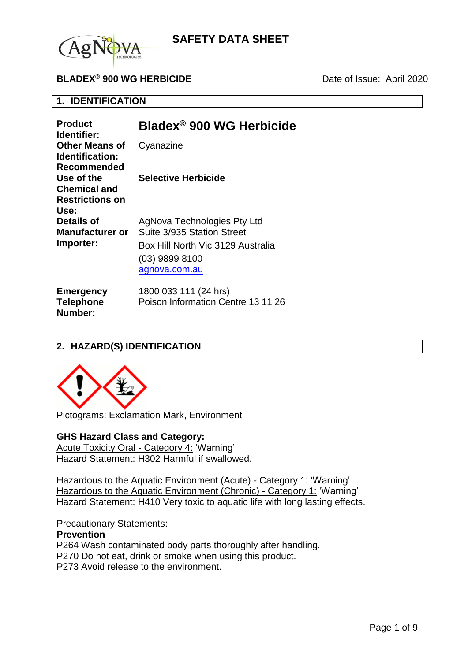

## **BLADEX<sup>®</sup> 900 WG HERBICIDE** Date of Issue: April 2020

## **1. IDENTIFICATION**

| <b>Product</b><br>Identifier:                                       | Bladex <sup>®</sup> 900 WG Herbicide                                                                                              |
|---------------------------------------------------------------------|-----------------------------------------------------------------------------------------------------------------------------------|
| <b>Other Means of</b><br>Identification:<br>Recommended             | Cyanazine                                                                                                                         |
| Use of the<br><b>Chemical and</b><br><b>Restrictions on</b><br>Use: | <b>Selective Herbicide</b>                                                                                                        |
| <b>Details of</b><br>Manufacturer or<br>Importer:                   | AgNova Technologies Pty Ltd<br>Suite 3/935 Station Street<br>Box Hill North Vic 3129 Australia<br>(03) 9899 8100<br>agnova.com.au |
| <b>Emergency</b><br><b>Telephone</b>                                | 1800 033 111 (24 hrs)<br>Poison Information Centre 13 11 26                                                                       |

## **2. HAZARD(S) IDENTIFICATION**



**Number:**

Pictograms: Exclamation Mark, Environment

#### **GHS Hazard Class and Category:**

Acute Toxicity Oral - Category 4: 'Warning' Hazard Statement: H302 Harmful if swallowed.

Hazardous to the Aquatic Environment (Acute) - Category 1: 'Warning' Hazardous to the Aquatic Environment (Chronic) - Category 1: 'Warning' Hazard Statement: H410 Very toxic to aquatic life with long lasting effects.

#### Precautionary Statements:

### **Prevention**

P264 Wash contaminated body parts thoroughly after handling. P270 Do not eat, drink or smoke when using this product.

P273 Avoid release to the environment.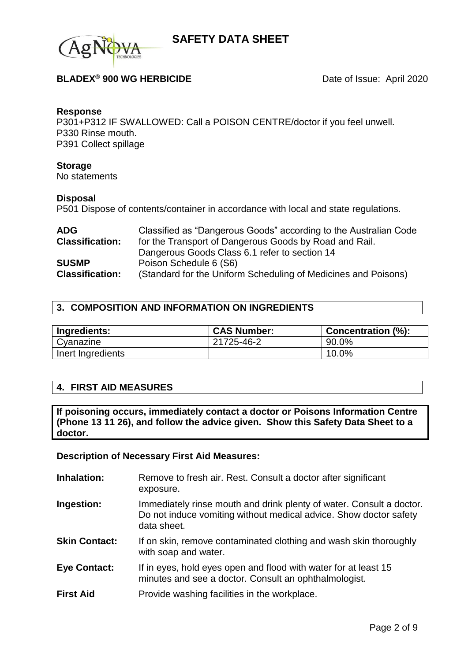

## **BLADEX<sup>®</sup> 900 WG HERBICIDE** Date of Issue: April 2020

#### **Response**

P301+P312 IF SWALLOWED: Call a POISON CENTRE/doctor if you feel unwell. P330 Rinse mouth. P391 Collect spillage

#### **Storage**

No statements

#### **Disposal**

P501 Dispose of contents/container in accordance with local and state regulations.

| <b>ADG</b>             | Classified as "Dangerous Goods" according to the Australian Code |
|------------------------|------------------------------------------------------------------|
| <b>Classification:</b> | for the Transport of Dangerous Goods by Road and Rail.           |
|                        | Dangerous Goods Class 6.1 refer to section 14                    |
| <b>SUSMP</b>           | Poison Schedule 6 (S6)                                           |
| <b>Classification:</b> | (Standard for the Uniform Scheduling of Medicines and Poisons)   |

### **3. COMPOSITION AND INFORMATION ON INGREDIENTS**

| Ingredients:      | <b>CAS Number:</b> | <b>Concentration (%):</b> |
|-------------------|--------------------|---------------------------|
| Cyanazine         | 21725-46-2         | 90.0%                     |
| Inert Ingredients |                    | 10.0%                     |

### **4. FIRST AID MEASURES**

**If poisoning occurs, immediately contact a doctor or Poisons Information Centre (Phone 13 11 26), and follow the advice given. Show this Safety Data Sheet to a doctor.**

#### **Description of Necessary First Aid Measures:**

- **Inhalation:** Remove to fresh air. Rest. Consult a doctor after significant exposure.
- **Ingestion:** Immediately rinse mouth and drink plenty of water. Consult a doctor. Do not induce vomiting without medical advice. Show doctor safety data sheet.
- **Skin Contact:** If on skin, remove contaminated clothing and wash skin thoroughly with soap and water.
- **Eye Contact:** If in eyes, hold eyes open and flood with water for at least 15 minutes and see a doctor. Consult an ophthalmologist.
- **First Aid Provide washing facilities in the workplace.**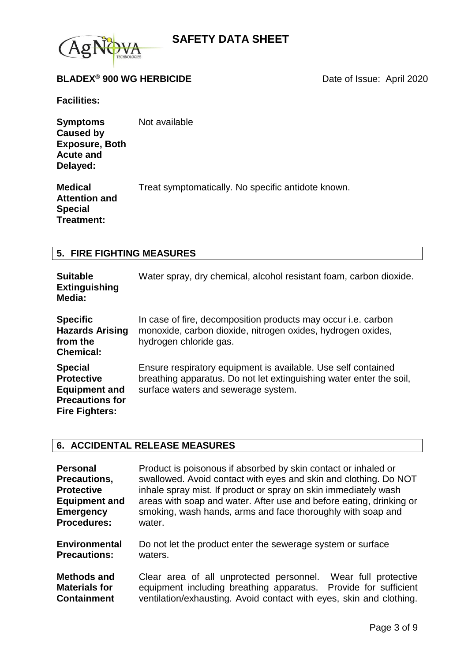

## **BLADEX<sup>®</sup> 900 WG HERBICIDE** Date of Issue: April 2020

**Facilities:**

**Symptoms Caused by Exposure, Both Acute and Delayed:** Not available

**Medical Attention and Special Treatment:** Treat symptomatically. No specific antidote known.

#### **5. FIRE FIGHTING MEASURES**

| <b>Suitable</b><br><b>Extinguishing</b><br>Media:                                                              | Water spray, dry chemical, alcohol resistant foam, carbon dioxide.                                                                                                          |
|----------------------------------------------------------------------------------------------------------------|-----------------------------------------------------------------------------------------------------------------------------------------------------------------------------|
| <b>Specific</b><br><b>Hazards Arising</b><br>from the<br><b>Chemical:</b>                                      | In case of fire, decomposition products may occur i.e. carbon<br>monoxide, carbon dioxide, nitrogen oxides, hydrogen oxides,<br>hydrogen chloride gas.                      |
| <b>Special</b><br><b>Protective</b><br><b>Equipment and</b><br><b>Precautions for</b><br><b>Fire Fighters:</b> | Ensure respiratory equipment is available. Use self contained<br>breathing apparatus. Do not let extinguishing water enter the soil,<br>surface waters and sewerage system. |

### **6. ACCIDENTAL RELEASE MEASURES**

| <b>Personal</b>                                                  | Product is poisonous if absorbed by skin contact or inhaled or                                                                                                                                                |
|------------------------------------------------------------------|---------------------------------------------------------------------------------------------------------------------------------------------------------------------------------------------------------------|
| Precautions,                                                     | swallowed. Avoid contact with eyes and skin and clothing. Do NOT                                                                                                                                              |
| <b>Protective</b>                                                | inhale spray mist. If product or spray on skin immediately wash                                                                                                                                               |
| <b>Equipment and</b>                                             | areas with soap and water. After use and before eating, drinking or                                                                                                                                           |
| <b>Emergency</b>                                                 | smoking, wash hands, arms and face thoroughly with soap and                                                                                                                                                   |
| <b>Procedures:</b>                                               | water.                                                                                                                                                                                                        |
| <b>Environmental</b>                                             | Do not let the product enter the sewerage system or surface                                                                                                                                                   |
| <b>Precautions:</b>                                              | waters.                                                                                                                                                                                                       |
| <b>Methods and</b><br><b>Materials for</b><br><b>Containment</b> | Wear full protective<br>Clear area of all unprotected personnel.<br>equipment including breathing apparatus.<br>Provide for sufficient<br>ventilation/exhausting. Avoid contact with eyes, skin and clothing. |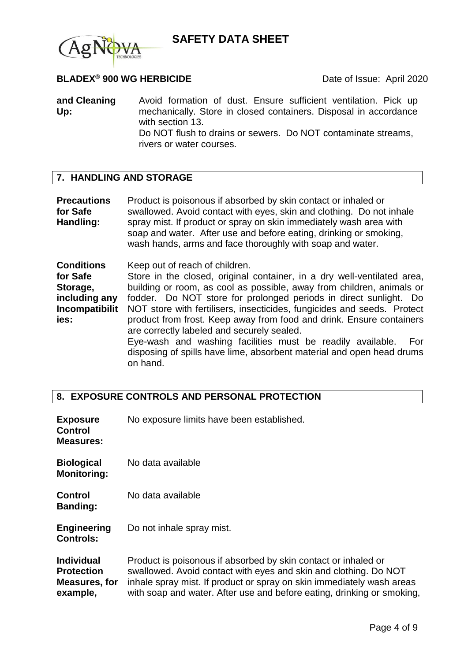



## **BLADEX<sup>®</sup> 900 WG HERBICIDE** Date of Issue: April 2020

**and Cleaning Up:** Avoid formation of dust. Ensure sufficient ventilation. Pick up mechanically. Store in closed containers. Disposal in accordance with section 13. Do NOT flush to drains or sewers. Do NOT contaminate streams, rivers or water courses.

## **7. HANDLING AND STORAGE**

**Precautions for Safe Handling:** Product is poisonous if absorbed by skin contact or inhaled or swallowed. Avoid contact with eyes, skin and clothing. Do not inhale spray mist. If product or spray on skin immediately wash area with soap and water. After use and before eating, drinking or smoking, wash hands, arms and face thoroughly with soap and water.

**Conditions for Safe Storage, including any Incompatibilit ies:** Keep out of reach of children. Store in the closed, original container, in a dry well-ventilated area, building or room, as cool as possible, away from children, animals or fodder. Do NOT store for prolonged periods in direct sunlight. Do NOT store with fertilisers, insecticides, fungicides and seeds. Protect product from frost. Keep away from food and drink. Ensure containers are correctly labeled and securely sealed. Eye-wash and washing facilities must be readily available. For disposing of spills have lime, absorbent material and open head drums on hand.

### **8. EXPOSURE CONTROLS AND PERSONAL PROTECTION**

| <b>Exposure</b><br><b>Control</b><br><b>Measures:</b>               | No exposure limits have been established.                                                                                                                                                                                                                                             |
|---------------------------------------------------------------------|---------------------------------------------------------------------------------------------------------------------------------------------------------------------------------------------------------------------------------------------------------------------------------------|
| <b>Biological</b><br><b>Monitoring:</b>                             | No data available                                                                                                                                                                                                                                                                     |
| <b>Control</b><br><b>Banding:</b>                                   | No data available                                                                                                                                                                                                                                                                     |
| <b>Engineering</b><br><b>Controls:</b>                              | Do not inhale spray mist.                                                                                                                                                                                                                                                             |
| <b>Individual</b><br><b>Protection</b><br>Measures, for<br>example, | Product is poisonous if absorbed by skin contact or inhaled or<br>swallowed. Avoid contact with eyes and skin and clothing. Do NOT<br>inhale spray mist. If product or spray on skin immediately wash areas<br>with soap and water. After use and before eating, drinking or smoking, |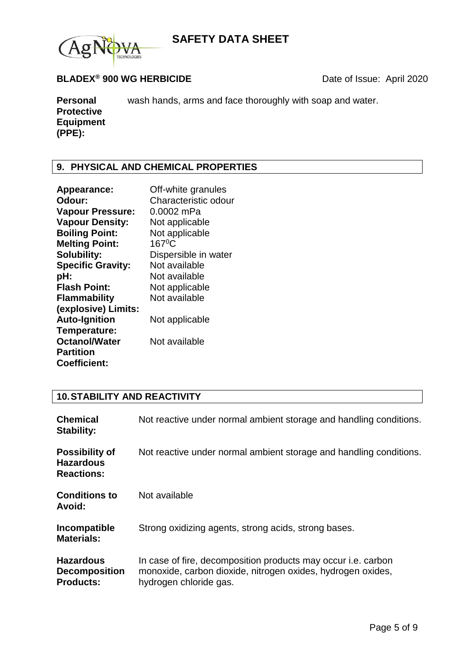

## **BLADEX<sup>®</sup> 900 WG HERBICIDE** Date of Issue: April 2020

**Personal Protective Equipment (PPE):** wash hands, arms and face thoroughly with soap and water.

## **9. PHYSICAL AND CHEMICAL PROPERTIES**

| Appearance:              | Off-white granules   |
|--------------------------|----------------------|
| Odour:                   | Characteristic odour |
| <b>Vapour Pressure:</b>  | 0.0002 mPa           |
| <b>Vapour Density:</b>   | Not applicable       |
| <b>Boiling Point:</b>    | Not applicable       |
| <b>Melting Point:</b>    | $167^{\circ}$ C      |
| <b>Solubility:</b>       | Dispersible in water |
| <b>Specific Gravity:</b> | Not available        |
| pH:                      | Not available        |
| <b>Flash Point:</b>      | Not applicable       |
| <b>Flammability</b>      | Not available        |
| (explosive) Limits:      |                      |
| <b>Auto-Ignition</b>     | Not applicable       |
| Temperature:             |                      |
| <b>Octanol/Water</b>     | Not available        |
| <b>Partition</b>         |                      |
| <b>Coefficient:</b>      |                      |
|                          |                      |

## **10.STABILITY AND REACTIVITY**

| <b>Chemical</b><br><b>Stability:</b>                           | Not reactive under normal ambient storage and handling conditions.                                                                                     |
|----------------------------------------------------------------|--------------------------------------------------------------------------------------------------------------------------------------------------------|
| <b>Possibility of</b><br><b>Hazardous</b><br><b>Reactions:</b> | Not reactive under normal ambient storage and handling conditions.                                                                                     |
| <b>Conditions to</b><br>Avoid:                                 | Not available                                                                                                                                          |
| Incompatible<br><b>Materials:</b>                              | Strong oxidizing agents, strong acids, strong bases.                                                                                                   |
| <b>Hazardous</b><br><b>Decomposition</b><br><b>Products:</b>   | In case of fire, decomposition products may occur i.e. carbon<br>monoxide, carbon dioxide, nitrogen oxides, hydrogen oxides,<br>hydrogen chloride gas. |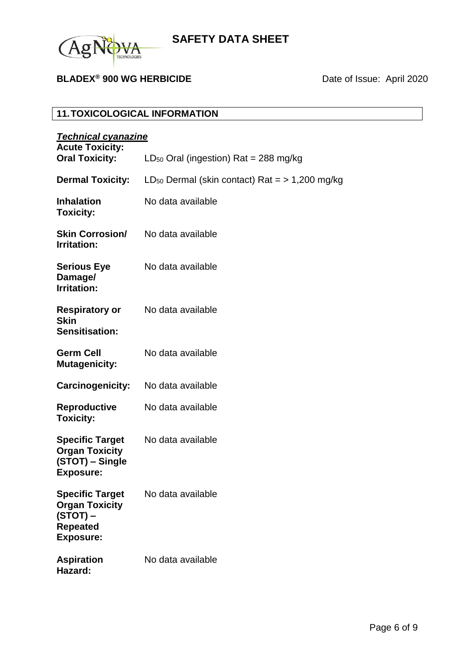

# **BLADEX<sup>®</sup> 900 WG HERBICIDE** Date of Issue: April 2020

# **11.TOXICOLOGICAL INFORMATION**

| <b>Technical cyanazine</b>                                                                           |                                                                |
|------------------------------------------------------------------------------------------------------|----------------------------------------------------------------|
| <b>Acute Toxicity:</b><br><b>Oral Toxicity:</b>                                                      | $LD_{50}$ Oral (ingestion) Rat = 288 mg/kg                     |
| <b>Dermal Toxicity:</b>                                                                              | LD <sub>50</sub> Dermal (skin contact) Rat $=$ $> 1,200$ mg/kg |
| <b>Inhalation</b><br><b>Toxicity:</b>                                                                | No data available                                              |
| <b>Skin Corrosion/</b><br><b>Irritation:</b>                                                         | No data available                                              |
| <b>Serious Eye</b><br>Damage/<br><b>Irritation:</b>                                                  | No data available                                              |
| <b>Respiratory or</b><br><b>Skin</b><br><b>Sensitisation:</b>                                        | No data available                                              |
| <b>Germ Cell</b><br><b>Mutagenicity:</b>                                                             | No data available                                              |
| <b>Carcinogenicity:</b>                                                                              | No data available                                              |
| <b>Reproductive</b><br><b>Toxicity:</b>                                                              | No data available                                              |
| <b>Specific Target</b><br><b>Organ Toxicity</b><br>(STOT) – Single<br><b>Exposure:</b>               | No data available                                              |
| <b>Specific Target</b><br><b>Organ Toxicity</b><br>$(STOT)$ –<br><b>Repeated</b><br><b>Exposure:</b> | No data available                                              |
| <b>Aspiration</b><br>Hazard:                                                                         | No data available                                              |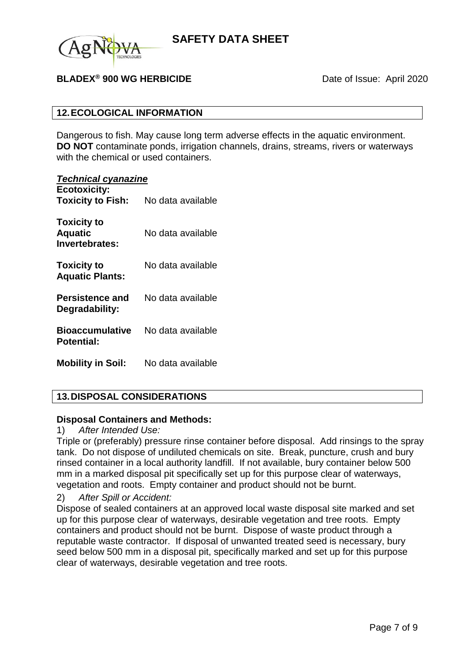

## **BLADEX<sup>®</sup> 900 WG HERBICIDE** Date of Issue: April 2020

### **12.ECOLOGICAL INFORMATION**

Dangerous to fish. May cause long term adverse effects in the aquatic environment. **DO NOT** contaminate ponds, irrigation channels, drains, streams, rivers or waterways with the chemical or used containers.

#### *Technical cyanazine*

| $1$ common cyangement<br><b>Ecotoxicity:</b><br><b>Toxicity to Fish:</b> | No data available |
|--------------------------------------------------------------------------|-------------------|
| <b>Toxicity to</b><br><b>Aquatic</b><br>Invertebrates:                   | No data available |
| <b>Toxicity to</b><br><b>Aquatic Plants:</b>                             | No data available |
| Persistence and<br>Degradability:                                        | No data available |
| <b>Bioaccumulative</b><br><b>Potential:</b>                              | No data available |
| <b>Mobility in Soil:</b>                                                 | No data available |

## **13.DISPOSAL CONSIDERATIONS**

### **Disposal Containers and Methods:**

### 1) *After Intended Use:*

Triple or (preferably) pressure rinse container before disposal. Add rinsings to the spray tank. Do not dispose of undiluted chemicals on site. Break, puncture, crush and bury rinsed container in a local authority landfill. If not available, bury container below 500 mm in a marked disposal pit specifically set up for this purpose clear of waterways, vegetation and roots. Empty container and product should not be burnt.

### 2) *After Spill or Accident:*

Dispose of sealed containers at an approved local waste disposal site marked and set up for this purpose clear of waterways, desirable vegetation and tree roots. Empty containers and product should not be burnt. Dispose of waste product through a reputable waste contractor. If disposal of unwanted treated seed is necessary, bury seed below 500 mm in a disposal pit, specifically marked and set up for this purpose clear of waterways, desirable vegetation and tree roots.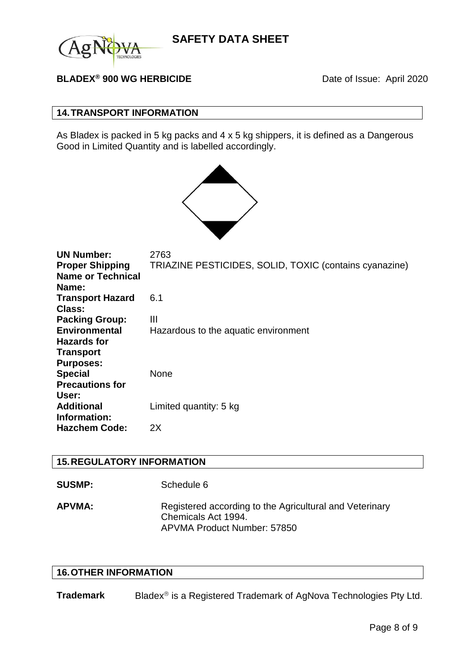

## **BLADEX<sup>®</sup> 900 WG HERBICIDE** Date of Issue: April 2020

### **14.TRANSPORT INFORMATION**

As Bladex is packed in 5 kg packs and 4 x 5 kg shippers, it is defined as a Dangerous Good in Limited Quantity and is labelled accordingly.



| <b>UN Number:</b><br><b>Proper Shipping</b> | 2763<br>TRIAZINE PESTICIDES, SOLID, TOXIC (contains cyanazine) |
|---------------------------------------------|----------------------------------------------------------------|
| <b>Name or Technical</b><br>Name:           |                                                                |
| <b>Transport Hazard</b>                     | 6.1                                                            |
| <b>Class:</b><br><b>Packing Group:</b>      | Ш                                                              |
| <b>Environmental</b><br><b>Hazards for</b>  | Hazardous to the aquatic environment                           |
| <b>Transport</b>                            |                                                                |
| <b>Purposes:</b><br><b>Special</b>          | None                                                           |
| <b>Precautions for</b><br>User:             |                                                                |
| <b>Additional</b>                           | Limited quantity: 5 kg                                         |
| Information:<br><b>Hazchem Code:</b>        | 2X                                                             |

### **15.REGULATORY INFORMATION**

| Schedule 6 |
|------------|
|            |

**APVMA:** Registered according to the Agricultural and Veterinary Chemicals Act 1994. APVMA Product Number: 57850

## **16.OTHER INFORMATION**

**Trademark** Bladex<sup>®</sup> is a Registered Trademark of AgNova Technologies Pty Ltd.